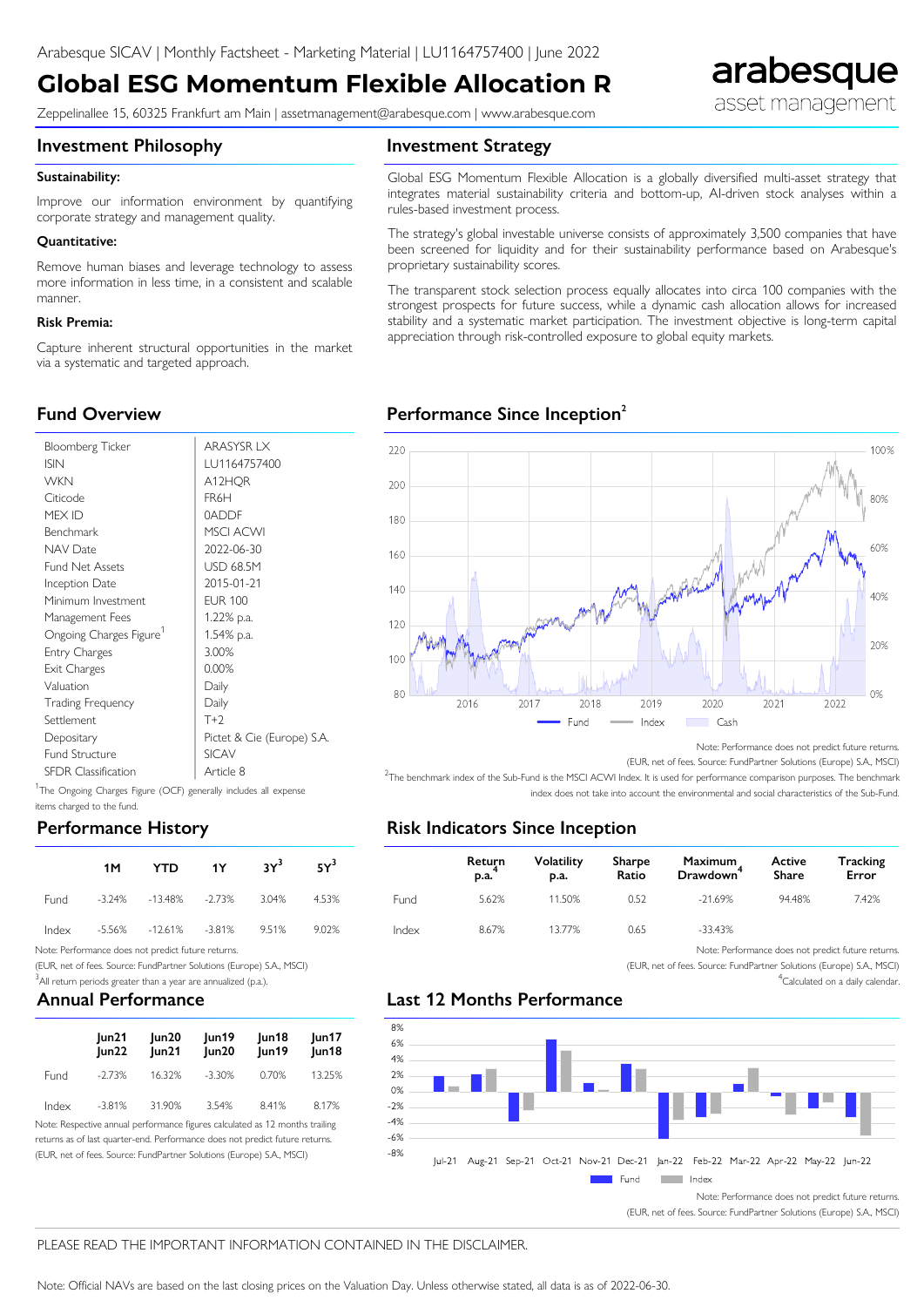# **Global ESG Momentum Flexible Allocation R**

Zeppelinallee 15, 60325 Frankfurt am Main | assetmanagement@arabesque.com | www.arabesque.com

#### **Investment Philosophy**

#### **Investment Strategy**

#### Sustainability:

Improve our information environment by quantifying corporate strategy and management quality.

#### ● **Quantitative:**

Remove human biases and leverage technology to assess more information in less time, in a consistent and scalable manner.

#### ● **Risk Premia:**

Capture inherent structural opportunities in the market via a systematic and targeted approach.

Global ESG Momentum Flexible Allocation is a globally diversified multi-asset strategy that integrates material sustainability criteria and bottom-up, AI-driven stock analyses within a rules-based investment process.

The strategy's global investable universe consists of approximately 3,500 companies that have been screened for liquidity and for their sustainability performance based on Arabesque's proprietary sustainability scores.

The transparent stock selection process equally allocates into circa 100 companies with the strongest prospects for future success, while a dynamic cash allocation allows for increased stability and a systematic market participation. The investment objective is long-term capital appreciation through risk-controlled exposure to global equity markets.

## **Performance Since Inception<sup>2</sup>**



| <b>Bloomberg Ticker</b>    | ARASYSR LX                 |
|----------------------------|----------------------------|
| <b>ISIN</b>                | LU1164757400               |
| <b>WKN</b>                 | A12HOR                     |
| Citicode                   | FR6H                       |
| MFX ID                     | 0ADDF                      |
| Benchmark                  | <b>MSCI ACWI</b>           |
| NAV Date                   | 2022-06-30                 |
| <b>Fund Net Assets</b>     | USD 68.5M                  |
| Inception Date             | 2015-01-21                 |
| Minimum Investment         | <b>EUR 100</b>             |
| Management Fees            | 1.22% p.a.                 |
| Ongoing Charges Figure'    | 1.54% p.a.                 |
| Entry Charges              | 3.00%                      |
| Exit Charges               | 0.00%                      |
| Valuation                  | Daily                      |
| Trading Frequency          | Daily                      |
| Settlement                 | $T+2$                      |
| Depositary                 | Pictet & Cie (Europe) S.A. |
| <b>Fund Structure</b>      | <b>SICAV</b>               |
| <b>SFDR Classification</b> | Article 8                  |

<sup>1</sup>The Ongoing Charges Figure (OCF) generally includes all expense items charged to the fund.

### **Performance History**

| 1M - |                                        | YTD 1Y 3Y <sup>3</sup> 5Y <sup>3</sup> |       |
|------|----------------------------------------|----------------------------------------|-------|
|      | Fund -3.24% -13.48% -2.73% 3.04% 4.53% |                                        |       |
|      | lndex -5.56% -12.61% -3.81% 9.51%      |                                        | 9.02% |

Note: Performance does not predict future returns.

(EUR, net of fees. Source: FundPartner Solutions (Europe) S.A., MSCI)

 $3$ All return periods greater than a year are annualized (p.a.).

## **Annual Performance**

|             | un21<br> un22 | Jun20<br> un21 | lun19<br>lun20 | Jun18<br>Jun19 | un17<br>Jun18 |
|-------------|---------------|----------------|----------------|----------------|---------------|
| <b>Fund</b> | -2.73%        | 16.32%         | -3.30%         | 0.70%          | 13.25%        |
| Index       | -3.81%        | 31.90%         | 3.54%          | 8.41%          | 8.17%         |

Note: Respective annual performance figures calculated as 12 months trailing returns as of last quarter-end. Performance does not predict future returns. (EUR, net of fees. Source: FundPartner Solutions (Europe) S.A., MSCI)



Note: Performance does not predict future returns.

arabesque

asset management

(EUR, net of fees. Source: FundPartner Solutions (Europe) S.A., MSCI)

<sup>2</sup>The benchmark index of the Sub-Fund is the MSCI ACWI Index. It is used for performance comparison purposes. The benchmark index does not take into account the environmental and social characteristics of the Sub-Fund.

## **Risk Indicators Since Inception**

|             | Return<br>p.a. | <b>Volatility</b><br>p.a. | Sharpe<br>Ratio | Maximum<br>Drawdown <sup>+</sup> | Active<br>Share | <b>Tracking</b><br>Error |
|-------------|----------------|---------------------------|-----------------|----------------------------------|-----------------|--------------------------|
| <b>Fund</b> | 5.62%          | 11.50%                    | 0.52            | $-21.69\%$                       | 94.48%          | 7.42%                    |
| Index       | 8.67%          | 13.77%                    | 0.65            | -33.43%                          |                 |                          |

Note: Performance does not predict future returns.

(EUR, net of fees. Source: FundPartner Solutions (Europe) S.A., MSCI) <sup>4</sup>Calculated on a daily calendar.

## **Last 12 Months Performance**



(EUR, net of fees. Source: FundPartner Solutions (Europe) S.A., MSCI)

#### PLEASE READ THE IMPORTANT INFORMATION CONTAINED IN THE DISCLAIMER.

Note: Official NAVs are based on the last closing prices on the Valuation Day. Unless otherwise stated, all data is as of 2022-06-30.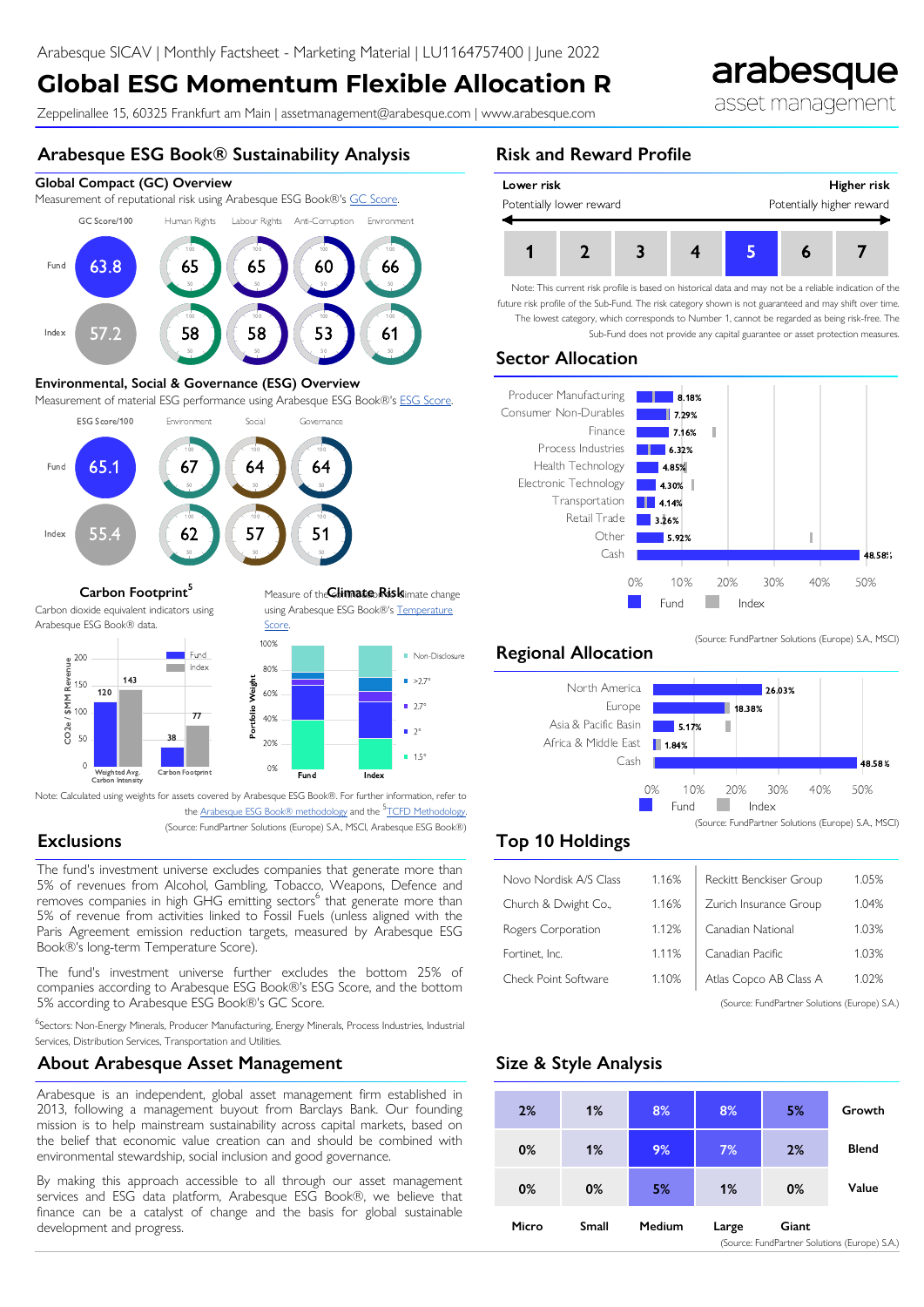# **Global ESG Momentum Flexible Allocation R**

Zeppelinallee 15, 60325 Frankfurt am Main | assetmanagement@arabesque.com | www.arabesque.com

## **Arabesque ESG Book® Sustainability Analysis**

#### **Global Compact (GC) Overview**

Measurement of reputational risk using Arabesque ESG Book®'s [GC Score](http://arabesque.com/docs/sray/S-Ray%20Methodology%20v260.pdf).



#### **Environmental, Social & Governance (ESG) Overview**

Measurement of material ESG performance using Arabesque ESG Book®'s [ESG Score.](http://arabesque.com/docs/sray/S-Ray%20Methodology%20v260.pdf)



#### **Carbon Footprint<sup>5</sup>** Measure of the **Climate Risk**limate change

Carbon dioxide equivalent indicators using Arabesque ESG Book® data.



Note: Calculated using weights for assets covered by Arabesque ESG Book®. For further information, refer to

the <u>Arabesque ESG Book® methodology</u> and the <sup>5</sup>[TCFD Methodology](https://www.tcfdhub.org/Downloads/pdfs/E09%20-%20Carbon%20footprinting%20-%20metrics.pdf).

**Score** 

(Source: FundPartner Solutions (Europe) S.A., MSCI, Arabesque ESG Book®)

**Fund Index**

using Arabesque ESG Book®'s [Temperature](http://arabesque.com/docs/sray/S-Ray%20Methodology%20v260.pdf)

**Non-Disclosure**  $\blacksquare$  >2.7°  $2.7^{\circ}$  $2^{\circ}$ **1.5°** 

## **Exclusions**

The fund's investment universe excludes companies that generate more than 5% of revenues from Alcohol, Gambling, Tobacco, Weapons, Defence and removes companies in high GHG emitting sectors<sup>6</sup> that generate more than 5% of revenue from activities linked to Fossil Fuels (unless aligned with the Paris Agreement emission reduction targets, measured by Arabesque ESG Book®'s long-term Temperature Score).

The fund's investment universe further excludes the bottom 25% of companies according to Arabesque ESG Book®'s ESG Score, and the bottom 5% according to Arabesque ESG Book®'s GC Score.

<sup>6</sup>Sectors: Non-Energy Minerals, Producer Manufacturing, Energy Minerals, Process Industries, Industrial Services, Distribution Services, Transportation and Utilities.

## **About Arabesque Asset Management**

Arabesque is an independent, global asset management firm established in 2013, following a management buyout from Barclays Bank. Our founding mission is to help mainstream sustainability across capital markets, based on the belief that economic value creation can and should be combined with environmental stewardship, social inclusion and good governance.

By making this approach accessible to all through our asset management services and ESG data platform, Arabesque ESG Book®, we believe that finance can be a catalyst of change and the basis for global sustainable development and progress.

## **Risk and Reward Profile**



Note: This current risk profile is based on historical data and may not be a reliable indication of the future risk profile of the Sub-Fund. The risk category shown is not guaranteed and may shift over time. The lowest category, which corresponds to Number 1, cannot be regarded as being risk-free. The Sub-Fund does not provide any capital guarantee or asset protection measures.

## **Sector Allocation**



## **Regional Allocation**



(Source: FundPartner Solutions (Europe) S.A., MSCI)

## **Top 10 Holdings**

| Novo Nordisk A/S Class                        | 1.16% | Reckitt Benckiser Group | 1.05% |  |
|-----------------------------------------------|-------|-------------------------|-------|--|
| Church & Dwight Co.,                          | 1.16% | Zurich Insurance Group  | 1.04% |  |
| Rogers Corporation                            | 1.12% | Canadian National       | 1.03% |  |
| Fortinet, Inc.                                | 1.11% | Canadian Pacific        | 1.03% |  |
| Check Point Software                          | 1.10% | Atlas Copco AB Class A  | 1.02% |  |
| (Source: FundPartner Solutions (Europe) S.A.) |       |                         |       |  |

## **Size & Style Analysis**



# arabesque

asset management